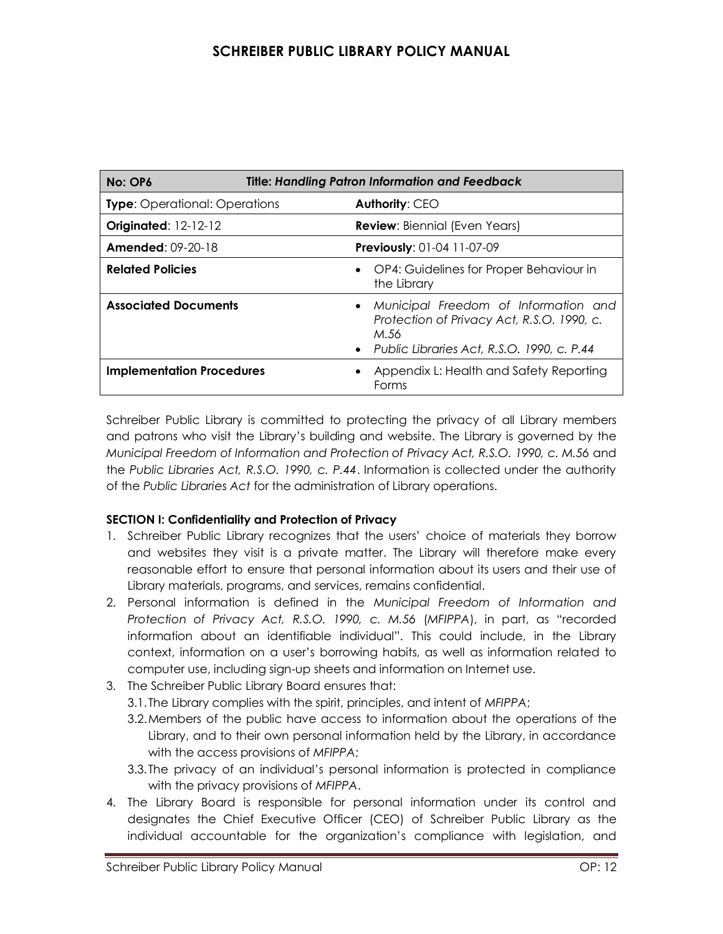| No: OP6<br><b>Title: Handling Patron Information and Feedback</b> |                                                                                                                                            |
|-------------------------------------------------------------------|--------------------------------------------------------------------------------------------------------------------------------------------|
| <b>Type:</b> Operational: Operations                              | <b>Authority: CEO</b>                                                                                                                      |
| <b>Originated: 12-12-12</b>                                       | <b>Review:</b> Biennial (Even Years)                                                                                                       |
| <b>Amended: 09-20-18</b>                                          | <b>Previously: 01-04 11-07-09</b>                                                                                                          |
| <b>Related Policies</b>                                           | OP4: Guidelines for Proper Behaviour in<br>the Library                                                                                     |
| <b>Associated Documents</b>                                       | Municipal Freedom of Information and<br>Protection of Privacy Act, R.S.O. 1990, c.<br>M.56<br>• Public Libraries Act, R.S.O. 1990, c. P.44 |
| <b>Implementation Procedures</b>                                  | Appendix L: Health and Safety Reporting<br>Forms                                                                                           |

Schreiber Public Library is committed to protecting the privacy of all Library members and patrons who visit the Library's building and website. The Library is governed by the *Municipal Freedom of Information and Protection of Privacy Act, R.S.O. 1990, c. M.56* and the *Public Libraries Act, R.S.O. 1990, c. P.44*. Information is collected under the authority of the *Public Libraries Act* for the administration of Library operations.

#### **SECTION I: Confidentiality and Protection of Privacy**

- 1. Schreiber Public Library recognizes that the users' choice of materials they borrow and websites they visit is a private matter. The Library will therefore make every reasonable effort to ensure that personal information about its users and their use of Library materials, programs, and services, remains confidential.
- 2. Personal information is defined in the *Municipal Freedom of Information and Protection of Privacy Act, R.S.O. 1990, c. M.56* (*MFIPPA*), in part, as "recorded information about an identifiable individual". This could include, in the Library context, information on a user's borrowing habits, as well as information related to computer use, including sign-up sheets and information on Internet use.
- 3. The Schreiber Public Library Board ensures that:
	- 3.1.The Library complies with the spirit, principles, and intent of *MFIPPA*;
	- 3.2.Members of the public have access to information about the operations of the Library, and to their own personal information held by the Library, in accordance with the access provisions of *MFIPPA*;
	- 3.3.The privacy of an individual's personal information is protected in compliance with the privacy provisions of *MFIPPA*.
- 4. The Library Board is responsible for personal information under its control and designates the Chief Executive Officer (CEO) of Schreiber Public Library as the individual accountable for the organization's compliance with legislation, and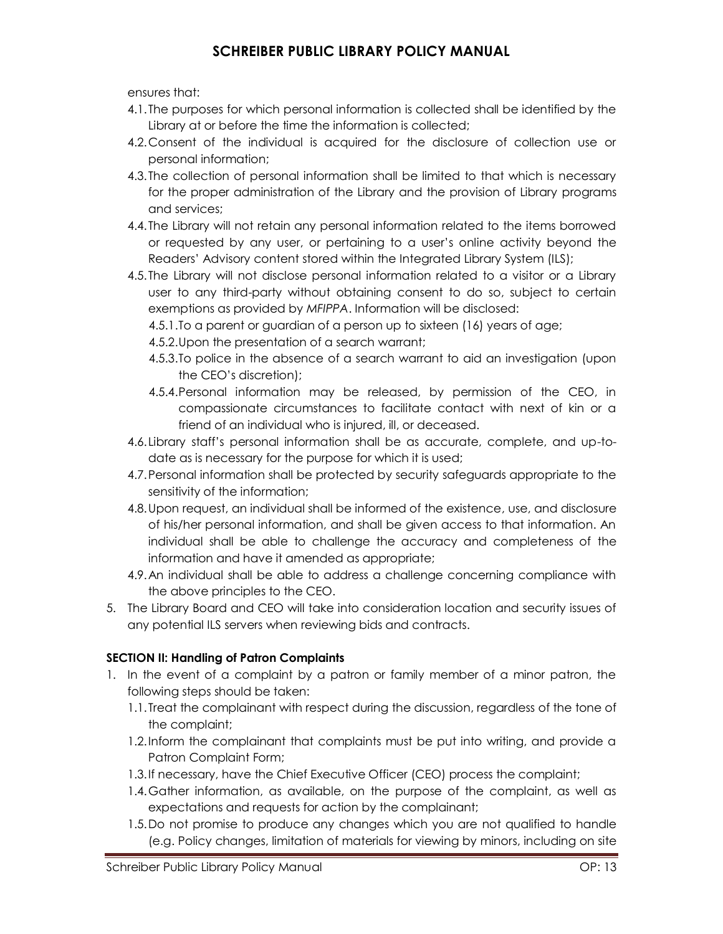ensures that:

- 4.1.The purposes for which personal information is collected shall be identified by the Library at or before the time the information is collected;
- 4.2.Consent of the individual is acquired for the disclosure of collection use or personal information;
- 4.3.The collection of personal information shall be limited to that which is necessary for the proper administration of the Library and the provision of Library programs and services;
- 4.4.The Library will not retain any personal information related to the items borrowed or requested by any user, or pertaining to a user's online activity beyond the Readers' Advisory content stored within the Integrated Library System (ILS);
- 4.5.The Library will not disclose personal information related to a visitor or a Library user to any third-party without obtaining consent to do so, subject to certain exemptions as provided by *MFIPPA*. Information will be disclosed:
	- 4.5.1.To a parent or guardian of a person up to sixteen (16) years of age;
	- 4.5.2.Upon the presentation of a search warrant;
	- 4.5.3.To police in the absence of a search warrant to aid an investigation (upon the CEO's discretion);
	- 4.5.4.Personal information may be released, by permission of the CEO, in compassionate circumstances to facilitate contact with next of kin or a friend of an individual who is injured, ill, or deceased.
- 4.6.Library staff's personal information shall be as accurate, complete, and up-todate as is necessary for the purpose for which it is used;
- 4.7.Personal information shall be protected by security safeguards appropriate to the sensitivity of the information;
- 4.8.Upon request, an individual shall be informed of the existence, use, and disclosure of his/her personal information, and shall be given access to that information. An individual shall be able to challenge the accuracy and completeness of the information and have it amended as appropriate;
- 4.9.An individual shall be able to address a challenge concerning compliance with the above principles to the CEO.
- 5. The Library Board and CEO will take into consideration location and security issues of any potential ILS servers when reviewing bids and contracts.

### **SECTION II: Handling of Patron Complaints**

- 1. In the event of a complaint by a patron or family member of a minor patron, the following steps should be taken:
	- 1.1.Treat the complainant with respect during the discussion, regardless of the tone of the complaint;
	- 1.2.Inform the complainant that complaints must be put into writing, and provide a Patron Complaint Form;
	- 1.3.If necessary, have the Chief Executive Officer (CEO) process the complaint;
	- 1.4.Gather information, as available, on the purpose of the complaint, as well as expectations and requests for action by the complainant;
	- 1.5.Do not promise to produce any changes which you are not qualified to handle (e.g. Policy changes, limitation of materials for viewing by minors, including on site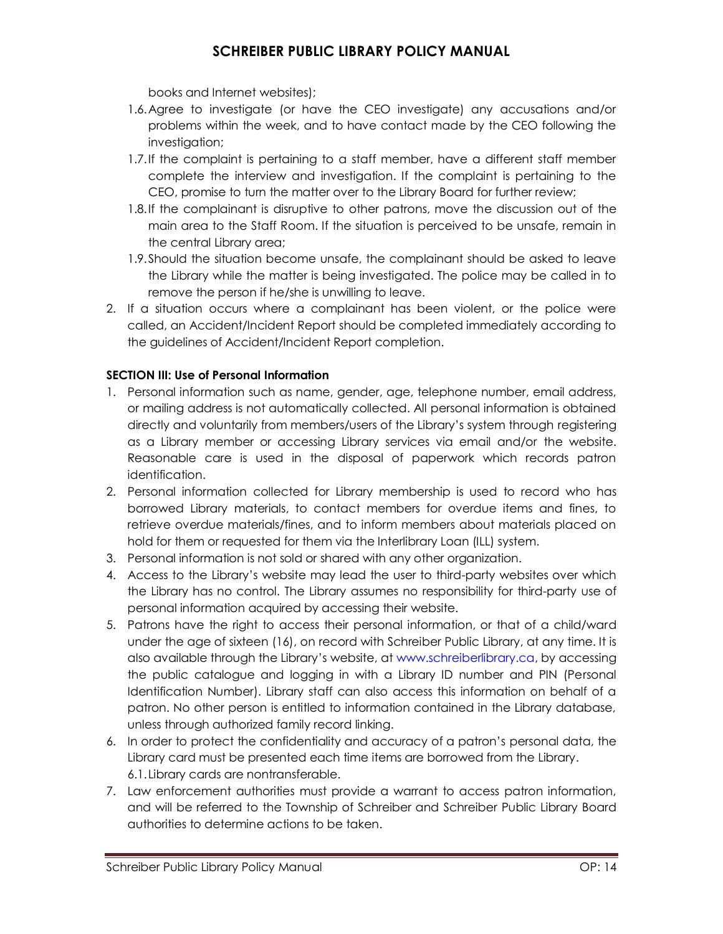books and Internet websites);

- 1.6.Agree to investigate (or have the CEO investigate) any accusations and/or problems within the week, and to have contact made by the CEO following the investigation;
- 1.7.If the complaint is pertaining to a staff member, have a different staff member complete the interview and investigation. If the complaint is pertaining to the CEO, promise to turn the matter over to the Library Board for further review;
- 1.8.If the complainant is disruptive to other patrons, move the discussion out of the main area to the Staff Room. If the situation is perceived to be unsafe, remain in the central Library area;
- 1.9.Should the situation become unsafe, the complainant should be asked to leave the Library while the matter is being investigated. The police may be called in to remove the person if he/she is unwilling to leave.
- 2. If a situation occurs where a complainant has been violent, or the police were called, an Accident/Incident Report should be completed immediately according to the guidelines of Accident/Incident Report completion.

### **SECTION III: Use of Personal Information**

- 1. Personal information such as name, gender, age, telephone number, email address, or mailing address is not automatically collected. All personal information is obtained directly and voluntarily from members/users of the Library's system through registering as a Library member or accessing Library services via email and/or the website. Reasonable care is used in the disposal of paperwork which records patron identification.
- 2. Personal information collected for Library membership is used to record who has borrowed Library materials, to contact members for overdue items and fines, to retrieve overdue materials/fines, and to inform members about materials placed on hold for them or requested for them via the Interlibrary Loan (ILL) system.
- 3. Personal information is not sold or shared with any other organization.
- 4. Access to the Library's website may lead the user to third-party websites over which the Library has no control. The Library assumes no responsibility for third-party use of personal information acquired by accessing their website.
- 5. Patrons have the right to access their personal information, or that of a child/ward under the age of sixteen (16), on record with Schreiber Public Library, at any time. It is also available through the Library's website, at www.schreiberlibrary.ca, by accessing the public catalogue and logging in with a Library ID number and PIN (Personal Identification Number). Library staff can also access this information on behalf of a patron. No other person is entitled to information contained in the Library database, unless through authorized family record linking.
- 6. In order to protect the confidentiality and accuracy of a patron's personal data, the Library card must be presented each time items are borrowed from the Library. 6.1.Library cards are nontransferable.
- 7. Law enforcement authorities must provide a warrant to access patron information, and will be referred to the Township of Schreiber and Schreiber Public Library Board authorities to determine actions to be taken.